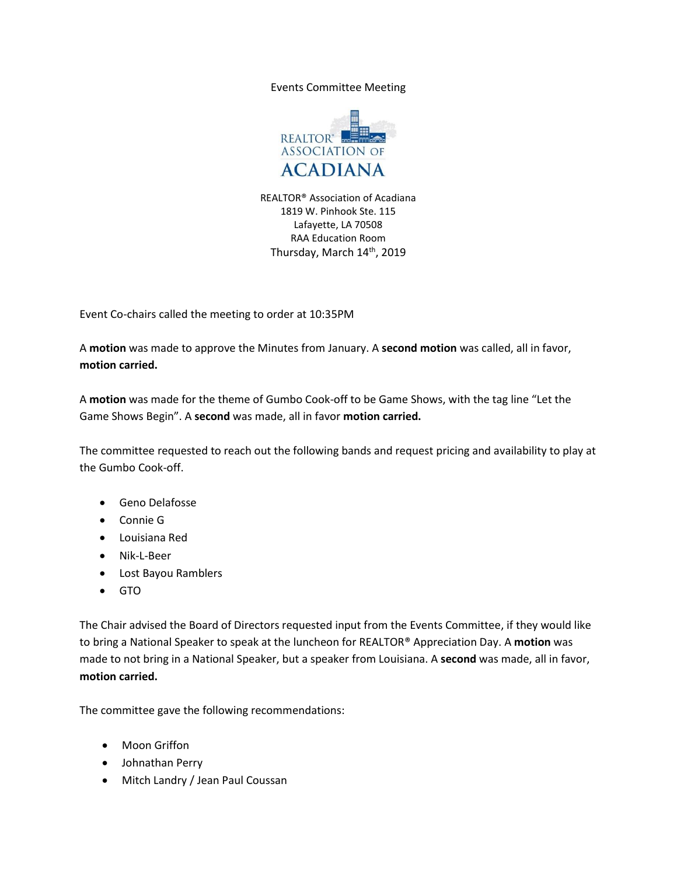Events Committee Meeting



REALTOR® Association of Acadiana 1819 W. Pinhook Ste. 115 Lafayette, LA 70508 RAA Education Room Thursday, March 14<sup>th</sup>, 2019

Event Co-chairs called the meeting to order at 10:35PM

A **motion** was made to approve the Minutes from January. A **second motion** was called, all in favor, **motion carried.**

A **motion** was made for the theme of Gumbo Cook-off to be Game Shows, with the tag line "Let the Game Shows Begin". A **second** was made, all in favor **motion carried.**

The committee requested to reach out the following bands and request pricing and availability to play at the Gumbo Cook-off.

- Geno Delafosse
- Connie G
- Louisiana Red
- Nik-L-Beer
- Lost Bayou Ramblers
- GTO

The Chair advised the Board of Directors requested input from the Events Committee, if they would like to bring a National Speaker to speak at the luncheon for REALTOR® Appreciation Day. A **motion** was made to not bring in a National Speaker, but a speaker from Louisiana. A **second** was made, all in favor, **motion carried.**

The committee gave the following recommendations:

- Moon Griffon
- Johnathan Perry
- Mitch Landry / Jean Paul Coussan